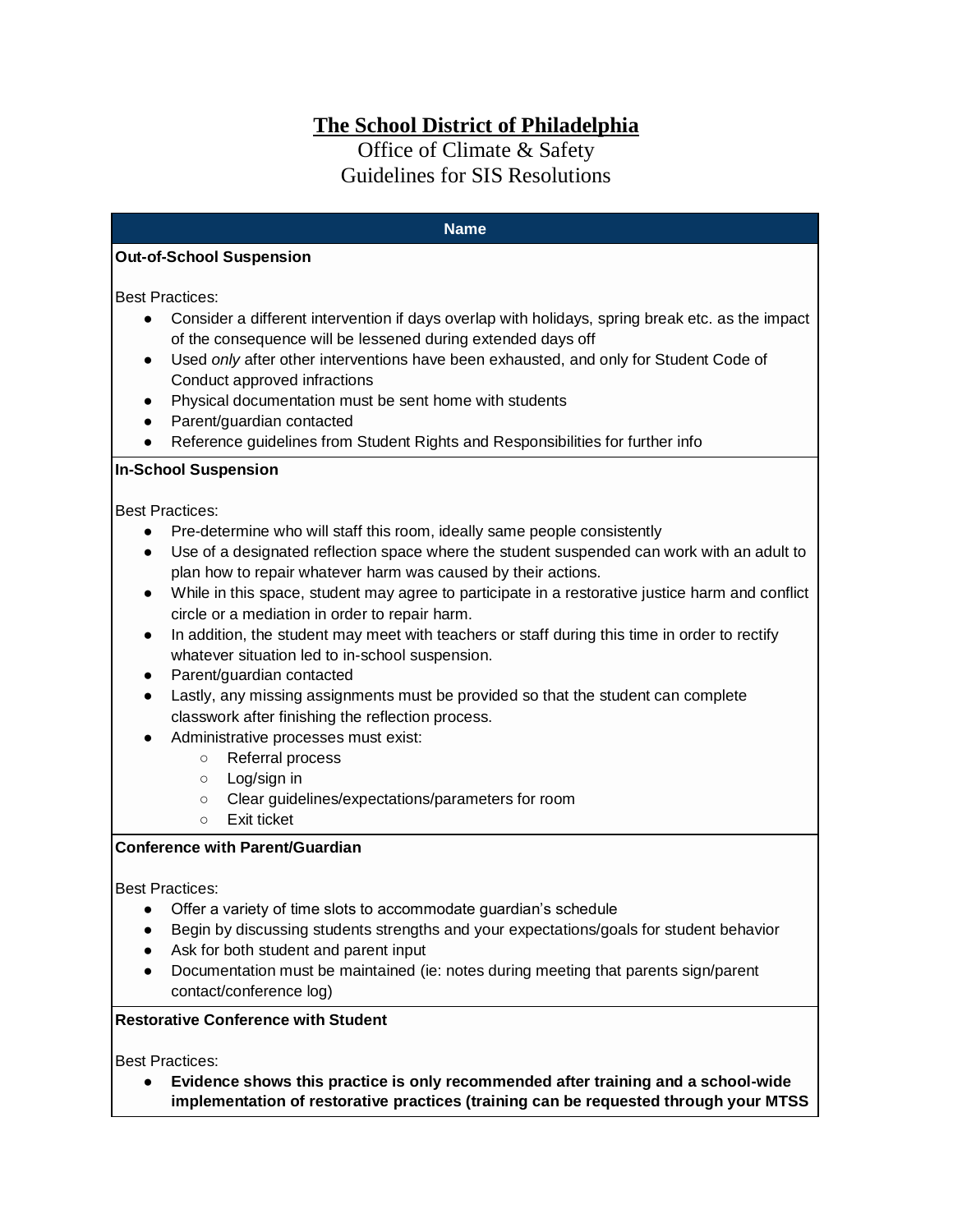# **The School District of Philadelphia**

# Office of Climate & Safety Guidelines for SIS Resolutions

#### **Name**

## **Out-of-School Suspension**

Best Practices:

- Consider a different intervention if days overlap with holidays, spring break etc. as the impact of the consequence will be lessened during extended days off
- Used *only* after other interventions have been exhausted, and only for Student Code of Conduct approved infractions
- Physical documentation must be sent home with students
- Parent/guardian contacted
- Reference guidelines from Student Rights and Responsibilities for further info

## **In-School Suspension**

Best Practices:

- Pre-determine who will staff this room, ideally same people consistently
- Use of a designated reflection space where the student suspended can work with an adult to plan how to repair whatever harm was caused by their actions.
- While in this space, student may agree to participate in a restorative justice harm and conflict circle or a mediation in order to repair harm.
- In addition, the student may meet with teachers or staff during this time in order to rectify whatever situation led to in-school suspension.
- Parent/quardian contacted
- Lastly, any missing assignments must be provided so that the student can complete classwork after finishing the reflection process.
- Administrative processes must exist:
	- Referral process
	- Log/sign in
	- Clear guidelines/expectations/parameters for room
	- Exit ticket

# **Conference with Parent/Guardian**

Best Practices:

- Offer a variety of time slots to accommodate guardian's schedule
- Begin by discussing students strengths and your expectations/goals for student behavior
- Ask for both student and parent input
- Documentation must be maintained (ie: notes during meeting that parents sign/parent contact/conference log)

## **Restorative Conference with Student**

Best Practices:

● **Evidence shows this practice is only recommended after training and a school-wide implementation of restorative practices (training can be requested through your MTSS**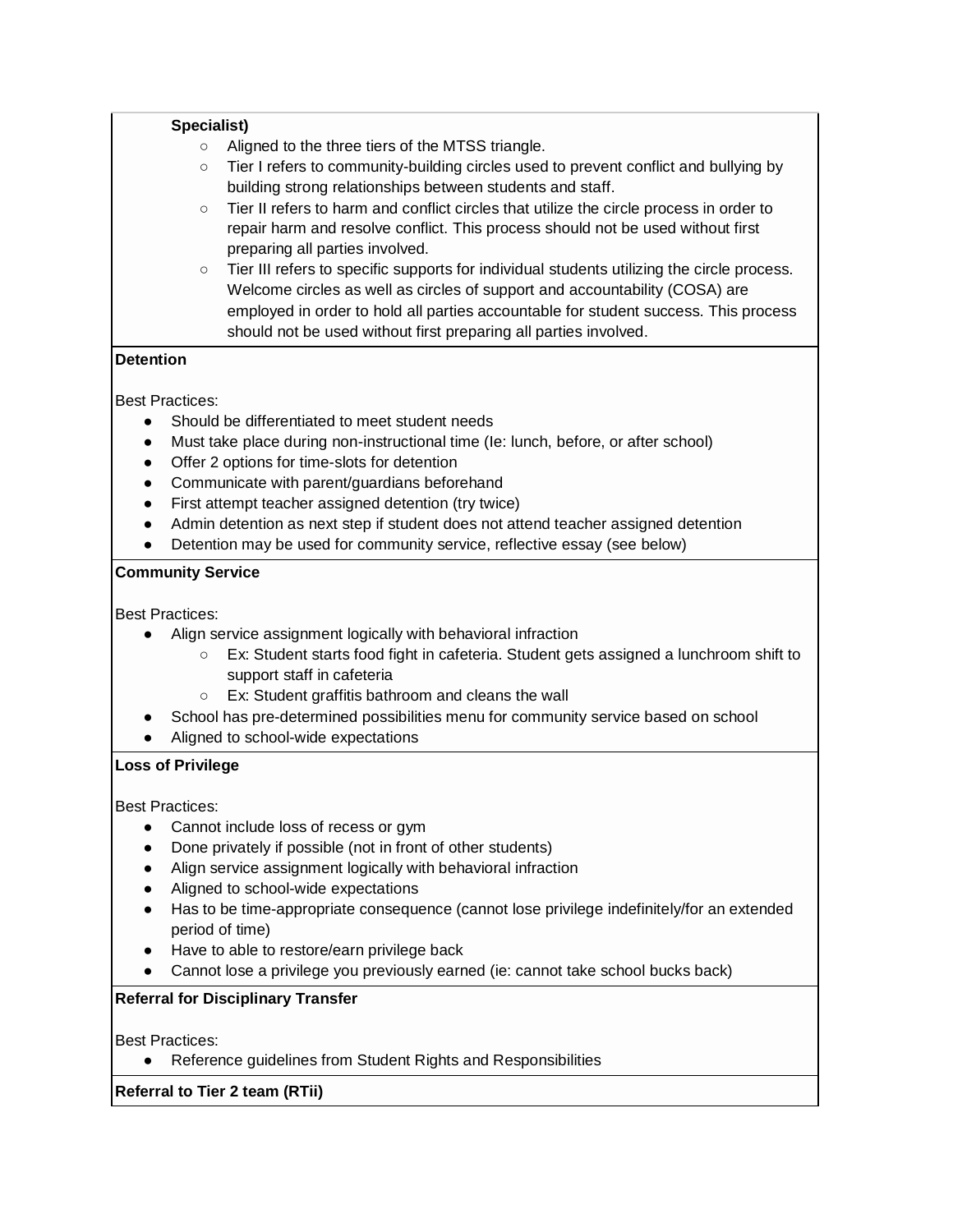| Specialist) |                                                                                                                                                                                                                                                                                                                                      |
|-------------|--------------------------------------------------------------------------------------------------------------------------------------------------------------------------------------------------------------------------------------------------------------------------------------------------------------------------------------|
| $\circ$     | Aligned to the three tiers of the MTSS triangle.                                                                                                                                                                                                                                                                                     |
| $\circ$     | Tier I refers to community-building circles used to prevent conflict and bullying by<br>building strong relationships between students and staff.                                                                                                                                                                                    |
| $\circ$     | Tier II refers to harm and conflict circles that utilize the circle process in order to<br>repair harm and resolve conflict. This process should not be used without first<br>preparing all parties involved.                                                                                                                        |
| $\circ$     | Tier III refers to specific supports for individual students utilizing the circle process.<br>Welcome circles as well as circles of support and accountability (COSA) are<br>employed in order to hold all parties accountable for student success. This process<br>should not be used without first preparing all parties involved. |
|             |                                                                                                                                                                                                                                                                                                                                      |

# **Detention**

Best Practices:

- Should be differentiated to meet student needs
- Must take place during non-instructional time (Ie: lunch, before, or after school)
- Offer 2 options for time-slots for detention
- Communicate with parent/guardians beforehand
- First attempt teacher assigned detention (try twice)
- Admin detention as next step if student does not attend teacher assigned detention
- Detention may be used for community service, reflective essay (see below)

## **Community Service**

Best Practices:

- Align service assignment logically with behavioral infraction
	- Ex: Student starts food fight in cafeteria. Student gets assigned a lunchroom shift to support staff in cafeteria
	- Ex: Student graffitis bathroom and cleans the wall
- School has pre-determined possibilities menu for community service based on school
- Aligned to school-wide expectations

## **Loss of Privilege**

Best Practices:

- Cannot include loss of recess or gym
- Done privately if possible (not in front of other students)
- Align service assignment logically with behavioral infraction
- Aligned to school-wide expectations
- Has to be time-appropriate consequence (cannot lose privilege indefinitely/for an extended period of time)
- Have to able to restore/earn privilege back
- Cannot lose a privilege you previously earned (ie: cannot take school bucks back)

# **Referral for Disciplinary Transfer**

Best Practices:

● Reference guidelines from Student Rights and Responsibilities

**Referral to Tier 2 team (RTii)**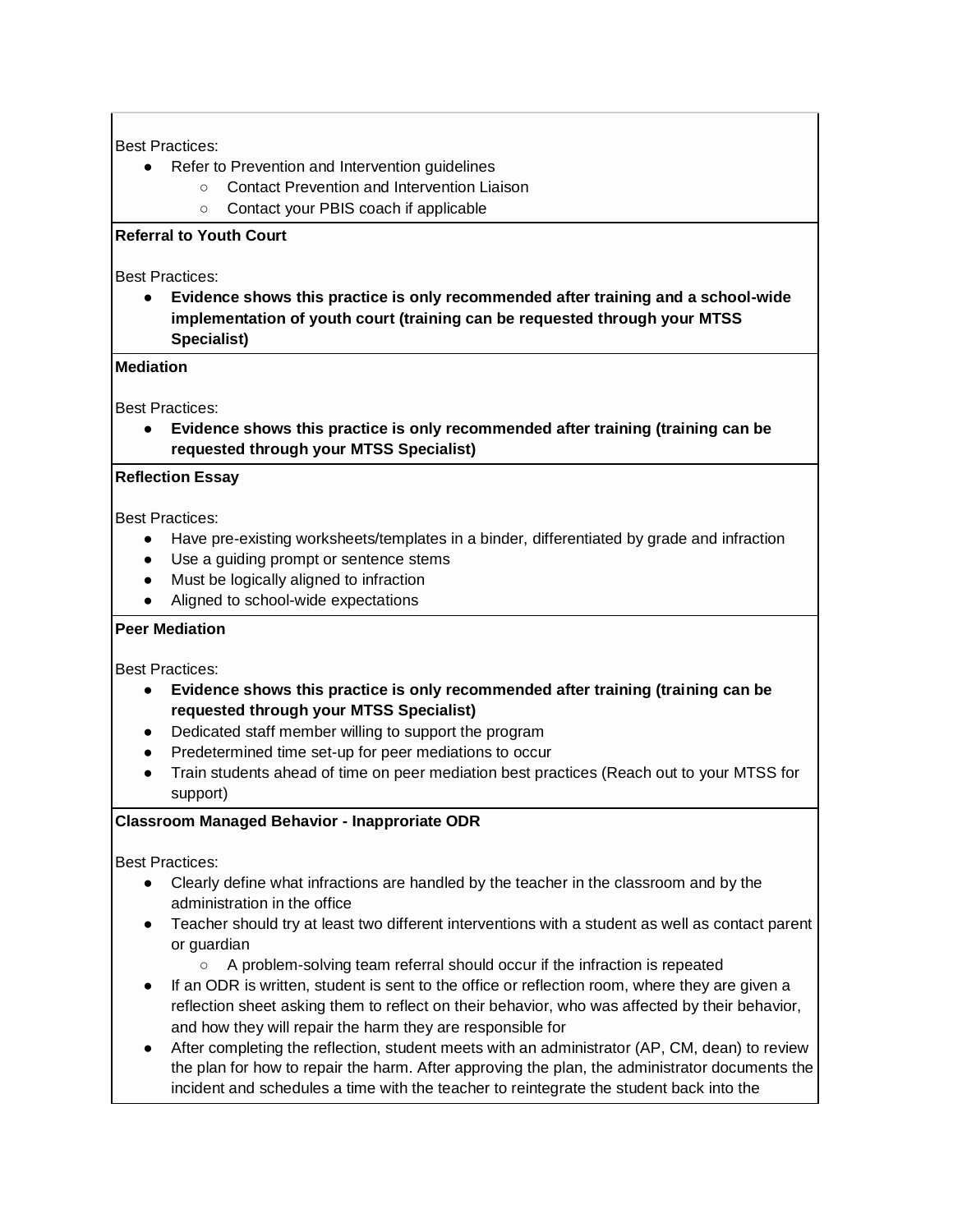## Best Practices:

- Refer to Prevention and Intervention guidelines
	- Contact Prevention and Intervention Liaison
	- Contact your PBIS coach if applicable

# **Referral to Youth Court**

Best Practices:

● **Evidence shows this practice is only recommended after training and a school-wide implementation of youth court (training can be requested through your MTSS Specialist)**

#### **Mediation**

Best Practices:

● **Evidence shows this practice is only recommended after training (training can be requested through your MTSS Specialist)**

## **Reflection Essay**

Best Practices:

- Have pre-existing worksheets/templates in a binder, differentiated by grade and infraction
- Use a guiding prompt or sentence stems
- Must be logically aligned to infraction
- Aligned to school-wide expectations

## **Peer Mediation**

Best Practices:

- **Evidence shows this practice is only recommended after training (training can be requested through your MTSS Specialist)**
- Dedicated staff member willing to support the program
- Predetermined time set-up for peer mediations to occur
- Train students ahead of time on peer mediation best practices (Reach out to your MTSS for support)

## **Classroom Managed Behavior - Inapproriate ODR**

Best Practices:

- Clearly define what infractions are handled by the teacher in the classroom and by the administration in the office
- Teacher should try at least two different interventions with a student as well as contact parent or guardian
	- A problem-solving team referral should occur if the infraction is repeated
- If an ODR is written, student is sent to the office or reflection room, where they are given a reflection sheet asking them to reflect on their behavior, who was affected by their behavior, and how they will repair the harm they are responsible for
- After completing the reflection, student meets with an administrator (AP, CM, dean) to review the plan for how to repair the harm. After approving the plan, the administrator documents the incident and schedules a time with the teacher to reintegrate the student back into the